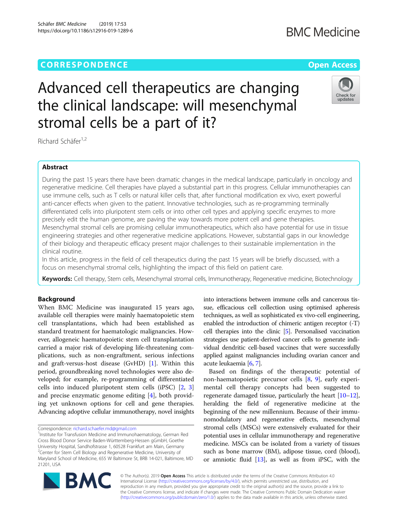Schäfer BMC Medicine (2019) 17:53 https://doi.org/10.1186/s12916-019-1289-6



# Advanced cell therapeutics are changing the clinical landscape: will mesenchymal stromal cells be a part of it?

Richard Schäfer<sup>1,2</sup>

# Abstract

During the past 15 years there have been dramatic changes in the medical landscape, particularly in oncology and regenerative medicine. Cell therapies have played a substantial part in this progress. Cellular immunotherapies can use immune cells, such as T cells or natural killer cells that, after functional modification ex vivo, exert powerful anti-cancer effects when given to the patient. Innovative technologies, such as re-programming terminally differentiated cells into pluripotent stem cells or into other cell types and applying specific enzymes to more precisely edit the human genome, are paving the way towards more potent cell and gene therapies. Mesenchymal stromal cells are promising cellular immunotherapeutics, which also have potential for use in tissue engineering strategies and other regenerative medicine applications. However, substantial gaps in our knowledge of their biology and therapeutic efficacy present major challenges to their sustainable implementation in the clinical routine.

In this article, progress in the field of cell therapeutics during the past 15 years will be briefly discussed, with a focus on mesenchymal stromal cells, highlighting the impact of this field on patient care.

Keywords: Cell therapy, Stem cells, Mesenchymal stromal cells, Immunotherapy, Regenerative medicine, Biotechnology

# Background

When BMC Medicine was inaugurated 15 years ago, available cell therapies were mainly haematopoietic stem cell transplantations, which had been established as standard treatment for haematologic malignancies. However, allogeneic haematopoietic stem cell transplantation carried a major risk of developing life-threatening complications, such as non-engraftment, serious infections and graft-versus-host disease (GvHD) [\[1\]](#page-2-0). Within this period, groundbreaking novel technologies were also developed; for example, re-programming of differentiated cells into induced pluripotent stem cells (iPSC) [\[2](#page-2-0), [3](#page-2-0)] and precise enzymatic genome editing [\[4\]](#page-2-0), both providing yet unknown options for cell and gene therapies. Advancing adoptive cellular immunotherapy, novel insights

Correspondence: [richard.schaefer.md@gmail.com](mailto:richard.schaefer.md@gmail.com) <sup>1</sup>

into interactions between immune cells and cancerous tissue, efficacious cell collection using optimised apheresis techniques, as well as sophisticated ex vivo-cell engineering, enabled the introduction of chimeric antigen receptor (-T) cell therapies into the clinic [\[5\]](#page-2-0). Personalised vaccination strategies use patient-derived cancer cells to generate individual dendritic cell-based vaccines that were successfully applied against malignancies including ovarian cancer and acute leukaemia [\[6,](#page-2-0) [7](#page-2-0)].

Based on findings of the therapeutic potential of non-haematopoietic precursor cells [\[8,](#page-2-0) [9](#page-2-0)], early experimental cell therapy concepts had been suggested to regenerate damaged tissue, particularly the heart  $[10-12]$  $[10-12]$  $[10-12]$  $[10-12]$ , heralding the field of regenerative medicine at the beginning of the new millennium. Because of their immunomodulatory and regenerative effects, mesenchymal stromal cells (MSCs) were extensively evaluated for their potential uses in cellular immunotherapy and regenerative medicine. MSCs can be isolated from a variety of tissues such as bone marrow (BM), adipose tissue, cord (blood), or amniotic fluid [[13](#page-2-0)], as well as from iPSC, with the



© The Author(s). 2019 Open Access This article is distributed under the terms of the Creative Commons Attribution 4.0 International License [\(http://creativecommons.org/licenses/by/4.0/](http://creativecommons.org/licenses/by/4.0/)), which permits unrestricted use, distribution, and reproduction in any medium, provided you give appropriate credit to the original author(s) and the source, provide a link to the Creative Commons license, and indicate if changes were made. The Creative Commons Public Domain Dedication waiver [\(http://creativecommons.org/publicdomain/zero/1.0/](http://creativecommons.org/publicdomain/zero/1.0/)) applies to the data made available in this article, unless otherwise stated.

<sup>&</sup>lt;sup>1</sup> Institute for Transfusion Medicine and Immunohaematology, German Red Cross Blood Donor Service Baden-Württemberg-Hessen gGmbH, Goethe University Hospital, Sandhofstrasse 1, 60528 Frankfurt am Main, Germany <sup>2</sup>Center for Stem Cell Biology and Regenerative Medicine, University of Maryland School of Medicine, 655 W Baltimore St, BRB 14-021, Baltimore, MD 21201, USA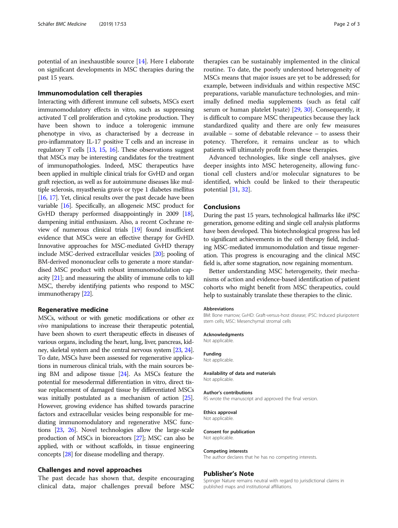potential of an inexhaustible source [\[14\]](#page-2-0). Here I elaborate on significant developments in MSC therapies during the past 15 years.

# Immunomodulation cell therapies

Interacting with different immune cell subsets, MSCs exert immunomodulatory effects in vitro, such as suppressing activated T cell proliferation and cytokine production. They have been shown to induce a tolerogenic immune phenotype in vivo, as characterised by a decrease in pro-inflammatory IL-17 positive T cells and an increase in regulatory T cells [\[13](#page-2-0), [15,](#page-2-0) [16\]](#page-2-0). These observations suggest that MSCs may be interesting candidates for the treatment of immunopathologies. Indeed, MSC therapeutics have been applied in multiple clinical trials for GvHD and organ graft rejection, as well as for autoimmune diseases like multiple sclerosis, myasthenia gravis or type 1 diabetes mellitus [[16](#page-2-0), [17](#page-2-0)]. Yet, clinical results over the past decade have been variable [\[16\]](#page-2-0). Specifically, an allogeneic MSC product for GvHD therapy performed disappointingly in 2009 [\[18](#page-2-0)], dampening initial enthusiasm. Also, a recent Cochrane review of numerous clinical trials [\[19\]](#page-2-0) found insufficient evidence that MSCs were an effective therapy for GvHD. Innovative approaches for MSC-mediated GvHD therapy include MSC-derived extracellular vesicles [\[20](#page-2-0)]; pooling of BM-derived mononuclear cells to generate a more standardised MSC product with robust immunomodulation capacity [[21](#page-2-0)]; and measuring the ability of immune cells to kill MSC, thereby identifying patients who respond to MSC immunotherapy [\[22\]](#page-2-0).

# Regenerative medicine

MSCs, without or with genetic modifications or other ex vivo manipulations to increase their therapeutic potential, have been shown to exert therapeutic effects in diseases of various organs, including the heart, lung, liver, pancreas, kidney, skeletal system and the central nervous system [\[23](#page-2-0), [24](#page-2-0)]. To date, MSCs have been assessed for regenerative applications in numerous clinical trials, with the main sources being BM and adipose tissue [\[24\]](#page-2-0). As MSCs feature the potential for mesodermal differentiation in vitro, direct tissue replacement of damaged tissue by differentiated MSCs was initially postulated as a mechanism of action [\[25](#page-2-0)]. However, growing evidence has shifted towards paracrine factors and extracellular vesicles being responsible for mediating immunomodulatory and regenerative MSC functions [[23,](#page-2-0) [26](#page-2-0)]. Novel technologies allow the large-scale production of MSCs in bioreactors [\[27\]](#page-2-0); MSC can also be applied, with or without scaffolds, in tissue engineering concepts [[28](#page-2-0)] for disease modelling and therapy.

# Challenges and novel approaches

The past decade has shown that, despite encouraging clinical data, major challenges prevail before MSC

therapies can be sustainably implemented in the clinical routine. To date, the poorly understood heterogeneity of MSCs means that major issues are yet to be addressed; for example, between individuals and within respective MSC preparations, variable manufacture technologies, and minimally defined media supplements (such as fetal calf serum or human platelet lysate) [\[29,](#page-2-0) [30\]](#page-2-0). Consequently, it is difficult to compare MSC therapeutics because they lack standardized quality and there are only few measures available – some of debatable relevance – to assess their potency. Therefore, it remains unclear as to which patients will ultimately profit from these therapies.

Advanced technologies, like single cell analyses, give deeper insights into MSC heterogeneity, allowing functional cell clusters and/or molecular signatures to be identified, which could be linked to their therapeutic potential [[31,](#page-2-0) [32\]](#page-2-0).

# Conclusions

During the past 15 years, technological hallmarks like iPSC generation, genome editing and single cell analysis platforms have been developed. This biotechnological progress has led to significant achievements in the cell therapy field, including MSC-mediated immunomodulation and tissue regeneration. This progress is encouraging and the clinical MSC field is, after some stagnation, now regaining momentum.

Better understanding MSC heterogeneity, their mechanisms of action and evidence-based identification of patient cohorts who might benefit from MSC therapeutics, could help to sustainably translate these therapies to the clinic.

# Abbreviations

BM: Bone marrow; GvHD: Graft-versus-host disease; iPSC: Induced pluripotent stem cells; MSC: Mesenchymal stromal cells

#### Acknowledgments

Not applicable.

# Funding

Not applicable.

# Availability of data and materials

Not applicable.

# Author's contributions

RS wrote the manuscript and approved the final version.

#### Ethics approval

Not applicable.

#### Consent for publication Not applicable.

#### Competing interests

The author declares that he has no competing interests.

# Publisher's Note

Springer Nature remains neutral with regard to jurisdictional claims in published maps and institutional affiliations.